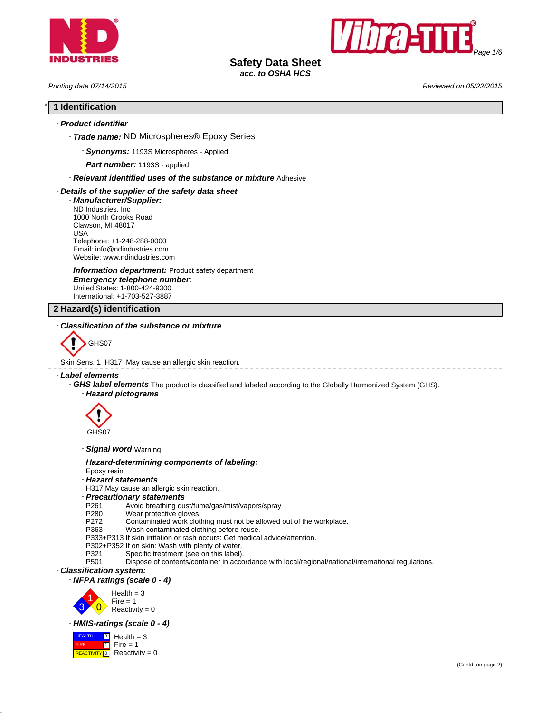



# **Safety Data Sheet**

*acc. to OSHA HCS*

*Printing date 07/14/2015 Reviewed on 05/22/2015*

# \* **1 Identification**

# - *Product identifier*

- *Trade name:* ND Microspheres® Epoxy Series
	- *Synonyms:* 1193S Microspheres Applied
	- *Part number:* 1193S applied

# - *Relevant identified uses of the substance or mixture* Adhesive

# - *Details of the supplier of the safety data sheet*

- *Manufacturer/Supplier:* ND Industries, Inc 1000 North Crooks Road Clawson, MI 48017 USA Telephone: +1-248-288-0000 Email: info@ndindustries.com Website: www.ndindustries.com
- *Information department:* Product safety department
- *Emergency telephone number:* United States: 1-800-424-9300 International: +1-703-527-3887

# **2 Hazard(s) identification**

# - *Classification of the substance or mixture*



Skin Sens. 1 H317 May cause an allergic skin reaction.

# - *Label elements*

- *GHS label elements* The product is classified and labeled according to the Globally Harmonized System (GHS).
	- *Hazard pictograms*



- *Signal word* Warning
- *Hazard-determining components of labeling:*
- Epoxy resin
- *Hazard statements*
- H317 May cause an allergic skin reaction.
- *Precautionary statements*
- P261 Avoid breathing dust/fume/gas/mist/vapors/spray<br>P280 Wear protective gloves.
- P280 Wear protective gloves.<br>P272 Contaminated work clot
- P272 Contaminated work clothing must not be allowed out of the workplace.<br>P363 Wash contaminated clothing before reuse.
- Wash contaminated clothing before reuse.
- P333+P313 If skin irritation or rash occurs: Get medical advice/attention.
- P302+P352 If on skin: Wash with plenty of water.<br>P321 Specific treatment (see on this label).
- P321 Specific treatment (see on this label).<br>P501 Dispose of contents/container in acco
- Dispose of contents/container in accordance with local/regional/national/international regulations.

# - *Classification system:*

- *NFPA ratings (scale 0 - 4)*



# - *HMIS-ratings (scale 0 - 4)*

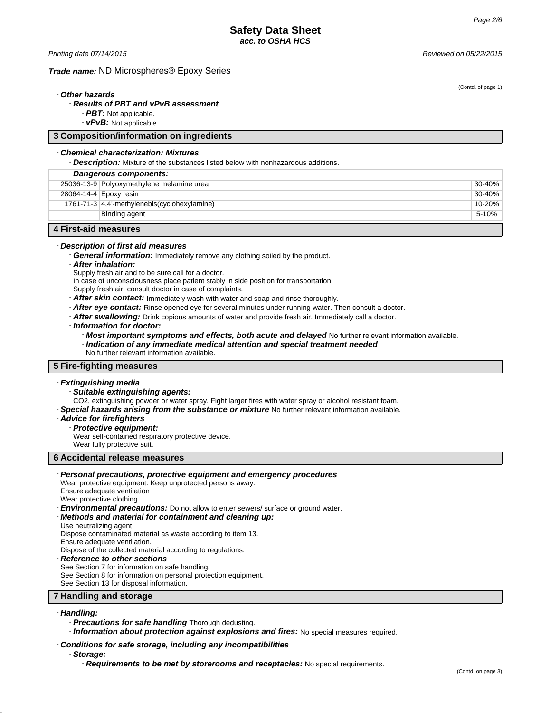*Printing date 07/14/2015 Reviewed on 05/22/2015*

# *Trade name:* ND Microspheres® Epoxy Series

(Contd. of page 1)

# - *Other hazards*

# - *Results of PBT and vPvB assessment*

- *PBT:* Not applicable.

- *vPvB:* Not applicable.

# **3 Composition/information on ingredients**

# - *Chemical characterization: Mixtures*

- *Description:* Mixture of the substances listed below with nonhazardous additions.

| - Dangerous components: |                                              |             |
|-------------------------|----------------------------------------------|-------------|
|                         | 25036-13-9 Polyoxymethylene melamine urea    | $30 - 40\%$ |
|                         | 28064-14-4 Epoxy resin                       | 30-40%      |
|                         | 1761-71-3 4,4'-methylenebis(cyclohexylamine) | 10-20%      |
|                         | Binding agent                                | $5 - 10%$   |
| .                       |                                              |             |

# **4 First-aid measures**

# - *Description of first aid measures*

- *General information:* Immediately remove any clothing soiled by the product.
- *After inhalation:*
- Supply fresh air and to be sure call for a doctor.
- In case of unconsciousness place patient stably in side position for transportation.
- Supply fresh air; consult doctor in case of complaints.
- *After skin contact:* Immediately wash with water and soap and rinse thoroughly.
- *After eye contact:* Rinse opened eye for several minutes under running water. Then consult a doctor.
- *After swallowing:* Drink copious amounts of water and provide fresh air. Immediately call a doctor.
- *Information for doctor:*
	- *Most important symptoms and effects, both acute and delayed* No further relevant information available.
	- *Indication of any immediate medical attention and special treatment needed*
	- No further relevant information available.

# **5 Fire-fighting measures**

# - *Extinguishing media*

- *Suitable extinguishing agents:*

CO2, extinguishing powder or water spray. Fight larger fires with water spray or alcohol resistant foam.

- *Special hazards arising from the substance or mixture* No further relevant information available.

#### - *Advice for firefighters*

# - *Protective equipment:*

Wear self-contained respiratory protective device.

Wear fully protective suit.

# **6 Accidental release measures**

#### - *Personal precautions, protective equipment and emergency procedures*

Wear protective equipment. Keep unprotected persons away. Ensure adequate ventilation

Wear protective clothing.

- *Environmental precautions:* Do not allow to enter sewers/ surface or ground water.
- *Methods and material for containment and cleaning up:*
- Use neutralizing agent.

Dispose contaminated material as waste according to item 13. Ensure adequate ventilation.

Dispose of the collected material according to regulations.

- *Reference to other sections*
- See Section 7 for information on safe handling. See Section 8 for information on personal protection equipment.

See Section 13 for disposal information.

# **7 Handling and storage**

# - *Handling:*

- *Precautions for safe handling* Thorough dedusting.
- *Information about protection against explosions and fires:* No special measures required.

## - *Conditions for safe storage, including any incompatibilities*

#### - *Storage:*

- *Requirements to be met by storerooms and receptacles:* No special requirements.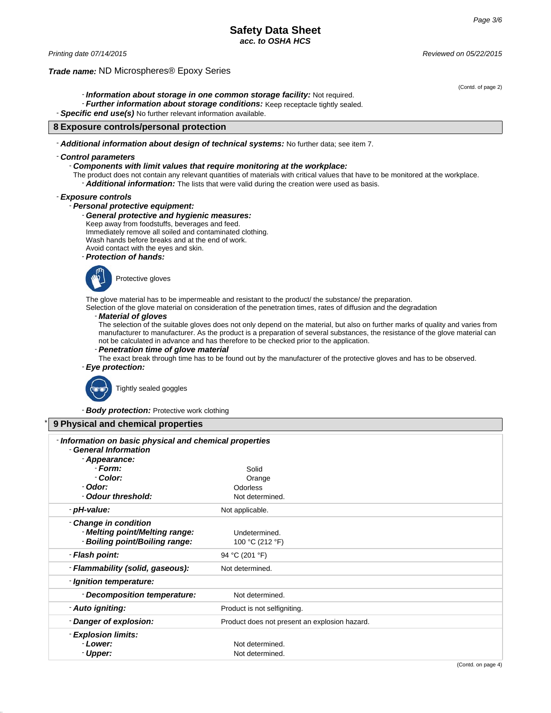# **Safety Data Sheet** *acc. to OSHA HCS*

# *Trade name:* ND Microspheres® Epoxy Series

(Contd. of page 2)

- *Information about storage in one common storage facility:* Not required.

- *Further information about storage conditions:* Keep receptacle tightly sealed.

- *Specific end use(s)* No further relevant information available.

# **8 Exposure controls/personal protection**

- *Additional information about design of technical systems:* No further data; see item 7.

#### - *Control parameters*

#### - *Components with limit values that require monitoring at the workplace:*

The product does not contain any relevant quantities of materials with critical values that have to be monitored at the workplace. - *Additional information:* The lists that were valid during the creation were used as basis.

# - *Exposure controls*

# - *Personal protective equipment:*

# - *General protective and hygienic measures:*

Keep away from foodstuffs, beverages and feed.

Immediately remove all soiled and contaminated clothing.

Wash hands before breaks and at the end of work.

Avoid contact with the eyes and skin.

- *Protection of hands:*



The glove material has to be impermeable and resistant to the product/ the substance/ the preparation.

Selection of the glove material on consideration of the penetration times, rates of diffusion and the degradation

# - *Material of gloves*

The selection of the suitable gloves does not only depend on the material, but also on further marks of quality and varies from manufacturer to manufacturer. As the product is a preparation of several substances, the resistance of the glove material can not be calculated in advance and has therefore to be checked prior to the application.

## - *Penetration time of glove material*

The exact break through time has to be found out by the manufacturer of the protective gloves and has to be observed.

# - *Eye protection:*

\* **9 Physical and chemical properties**

Tightly sealed goggles

- *Body protection:* Protective work clothing

| - Information on basic physical and chemical properties |                                               |
|---------------------------------------------------------|-----------------------------------------------|
| - General Information                                   |                                               |
| - Appearance:                                           |                                               |
| - Form:                                                 | Solid                                         |
| - Color:                                                | Orange                                        |
| - Odor:                                                 | Odorless                                      |
| - Odour threshold:                                      | Not determined.                               |
| - pH-value:                                             | Not applicable.                               |
| - Change in condition                                   |                                               |
| - Melting point/Melting range:                          | Undetermined.                                 |
| - Boiling point/Boiling range:                          | 100 °C (212 °F)                               |
| - Flash point:                                          | 94 °C (201 °F)                                |
| - Flammability (solid, gaseous):                        | Not determined.                               |
| - Ignition temperature:                                 |                                               |
| - Decomposition temperature:                            | Not determined.                               |
| - Auto igniting:                                        | Product is not selfigniting.                  |
| - Danger of explosion:                                  | Product does not present an explosion hazard. |
| - Explosion limits:                                     |                                               |
| - Lower:                                                | Not determined.                               |
| - Upper:                                                | Not determined.                               |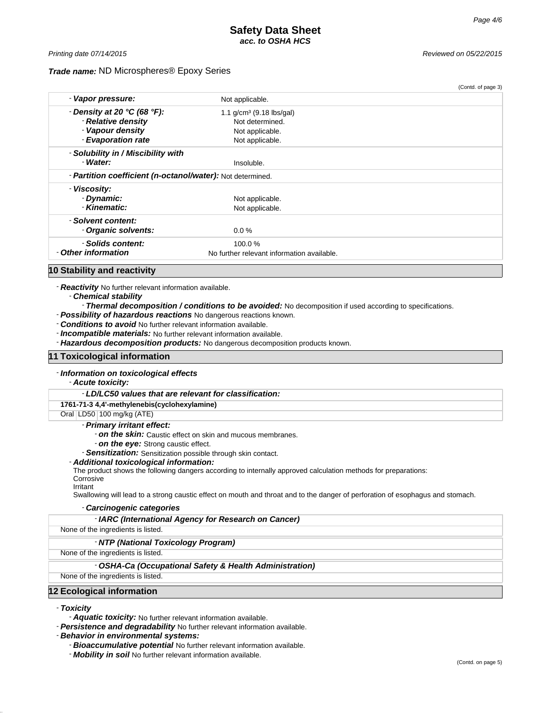# *Trade name:* ND Microspheres® Epoxy Series

*Printing date 07/14/2015 Reviewed on 05/22/2015*

|                                                                   |                                            | (Contd. of page 3) |
|-------------------------------------------------------------------|--------------------------------------------|--------------------|
| - Vapor pressure:                                                 | Not applicable.                            |                    |
| - Density at 20 $°C$ (68 $°F$ ):                                  | 1.1 $g/cm^3$ (9.18 lbs/gal)                |                    |
| - Relative density                                                | Not determined.                            |                    |
| - Vapour density                                                  | Not applicable.                            |                    |
| - Evaporation rate                                                | Not applicable.                            |                    |
| - Solubility in / Miscibility with                                |                                            |                    |
| - Water:                                                          | Insoluble.                                 |                    |
| - <b>Partition coefficient (n-octanol/water):</b> Not determined. |                                            |                    |
| - Viscosity:                                                      |                                            |                    |
| - Dynamic:                                                        | Not applicable.                            |                    |
| Kinematic:                                                        | Not applicable.                            |                    |
| - Solvent content:                                                |                                            |                    |
| - Organic solvents:                                               | $0.0\%$                                    |                    |
| - Solids content:                                                 | 100.0%                                     |                    |
| - Other information                                               | No further relevant information available. |                    |

# **10 Stability and reactivity**

- *Reactivity* No further relevant information available.

- *Chemical stability*

# - *Thermal decomposition / conditions to be avoided:* No decomposition if used according to specifications.

- *Possibility of hazardous reactions* No dangerous reactions known.

- *Conditions to avoid* No further relevant information available.

- *Incompatible materials:* No further relevant information available.

- *Hazardous decomposition products:* No dangerous decomposition products known.

# **11 Toxicological information**

#### - *Information on toxicological effects*

- *Acute toxicity:*

#### - *LD/LC50 values that are relevant for classification:*

# **1761-71-3 4,4'-methylenebis(cyclohexylamine)**

Oral LD50 100 mg/kg (ATE)

# - *Primary irritant effect:*

- *on the skin:* Caustic effect on skin and mucous membranes.
- *on the eye:* Strong caustic effect.
- *Sensitization:* Sensitization possible through skin contact.

#### - *Additional toxicological information:*

The product shows the following dangers according to internally approved calculation methods for preparations:

#### **Corrosive** Irritant

Swallowing will lead to a strong caustic effect on mouth and throat and to the danger of perforation of esophagus and stomach.

#### - *Carcinogenic categories*

|  | - IARC (International Agency for Research on Cancer) |  |  |
|--|------------------------------------------------------|--|--|
|--|------------------------------------------------------|--|--|

None of the ingredients is listed.

# - *NTP (National Toxicology Program)*

None of the ingredients is listed.

#### - *OSHA-Ca (Occupational Safety & Health Administration)*

None of the ingredients is listed.

# **12 Ecological information**

- *Toxicity*

- *Aquatic toxicity:* No further relevant information available.

- *Persistence and degradability* No further relevant information available.

- *Behavior in environmental systems:*

- *Bioaccumulative potential* No further relevant information available.

- *Mobility in soil* No further relevant information available.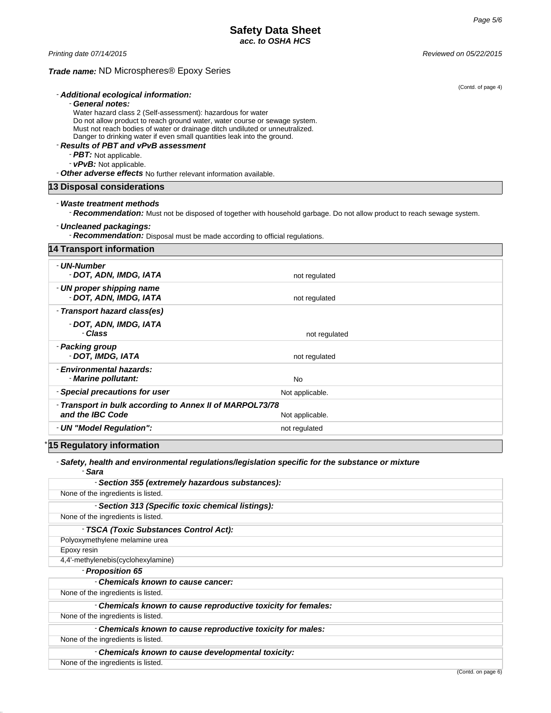*Printing date 07/14/2015 Reviewed on 05/22/2015*

# *Trade name:* ND Microspheres® Epoxy Series

|                                                                              | (Contd. of page 4)                                                                                                      |
|------------------------------------------------------------------------------|-------------------------------------------------------------------------------------------------------------------------|
| - Additional ecological information:                                         |                                                                                                                         |
| - General notes:                                                             |                                                                                                                         |
| Water hazard class 2 (Self-assessment): hazardous for water                  |                                                                                                                         |
| Do not allow product to reach ground water, water course or sewage system.   |                                                                                                                         |
| Must not reach bodies of water or drainage ditch undiluted or unneutralized. |                                                                                                                         |
| Danger to drinking water if even small quantities leak into the ground.      |                                                                                                                         |
| - Results of PBT and vPvB assessment                                         |                                                                                                                         |
| $-PBT$ : Not applicable.                                                     |                                                                                                                         |
| - vPvB: Not applicable.                                                      |                                                                                                                         |
| - Other adverse effects No further relevant information available.           |                                                                                                                         |
| 13 Disposal considerations                                                   |                                                                                                                         |
| - Waste treatment methods                                                    |                                                                                                                         |
|                                                                              |                                                                                                                         |
|                                                                              | - Recommendation: Must not be disposed of together with household garbage. Do not allow product to reach sewage system. |
| - Uncleaned packagings:                                                      |                                                                                                                         |
| - Recommendation: Disposal must be made according to official regulations.   |                                                                                                                         |
| <b>14 Transport information</b>                                              |                                                                                                                         |
| - UN-Number                                                                  |                                                                                                                         |
| - DOT, ADN, IMDG, IATA                                                       | not regulated                                                                                                           |
|                                                                              |                                                                                                                         |
| - UN proper shipping name                                                    |                                                                                                                         |
| - DOT, ADN, IMDG, IATA                                                       | not regulated                                                                                                           |
| - Transport hazard class(es)                                                 |                                                                                                                         |
| - DOT, ADN, IMDG, IATA                                                       |                                                                                                                         |
| - Class                                                                      | not regulated                                                                                                           |
|                                                                              |                                                                                                                         |
| - Packing group                                                              |                                                                                                                         |
| - DOT. IMDG. IATA                                                            | not regulated                                                                                                           |
| Forduances and all have value                                                |                                                                                                                         |

| - Environmental hazards:<br>Marine pollutant:                                | N٥              |
|------------------------------------------------------------------------------|-----------------|
| - Special precautions for user                                               | Not applicable. |
| - Transport in bulk according to Annex II of MARPOL73/78<br>and the IBC Code | Not applicable. |
| - UN "Model Regulation":                                                     | not regulated   |

# **15 Regulatory information**

# - *Safety, health and environmental regulations/legislation specific for the substance or mixture* - *Sara*

| - Section 355 (extremely hazardous substances):               |
|---------------------------------------------------------------|
| None of the ingredients is listed.                            |
| - Section 313 (Specific toxic chemical listings):             |
| None of the ingredients is listed.                            |
| - TSCA (Toxic Substances Control Act):                        |
| Polyoxymethylene melamine urea                                |
| Epoxy resin                                                   |
| 4,4'-methylenebis(cyclohexylamine)                            |
| - Proposition 65                                              |
| - Chemicals known to cause cancer:                            |
| None of the ingredients is listed.                            |
| - Chemicals known to cause reproductive toxicity for females: |
| None of the ingredients is listed.                            |
| - Chemicals known to cause reproductive toxicity for males:   |
| None of the ingredients is listed.                            |
| - Chemicals known to cause developmental toxicity:            |
| None of the ingredients is listed.                            |
|                                                               |